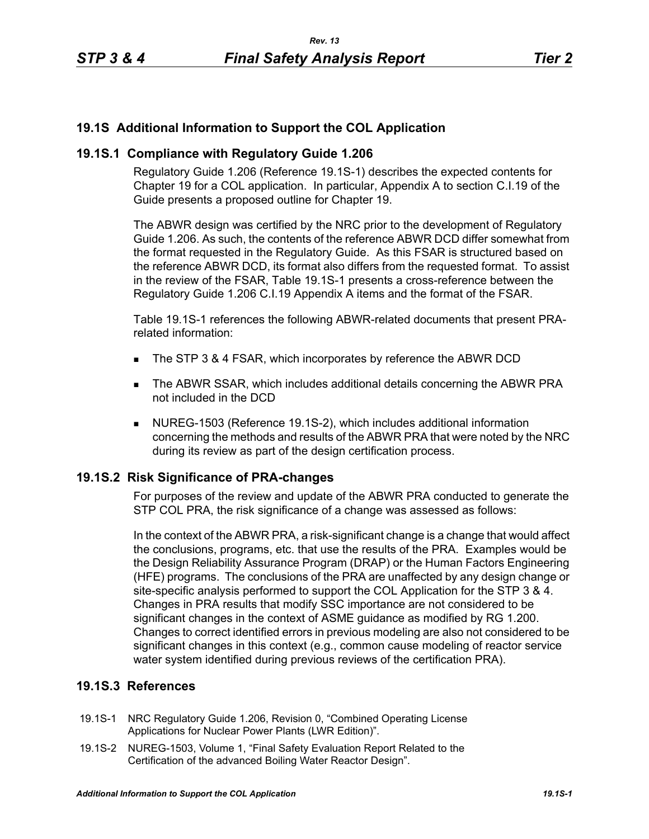# **19.1S Additional Information to Support the COL Application**

## **19.1S.1 Compliance with Regulatory Guide 1.206**

Regulatory Guide 1.206 (Reference 19.1S-1) describes the expected contents for Chapter 19 for a COL application. In particular, Appendix A to section C.I.19 of the Guide presents a proposed outline for Chapter 19.

The ABWR design was certified by the NRC prior to the development of Regulatory Guide 1.206. As such, the contents of the reference ABWR DCD differ somewhat from the format requested in the Regulatory Guide. As this FSAR is structured based on the reference ABWR DCD, its format also differs from the requested format. To assist in the review of the FSAR, Table 19.1S-1 presents a cross-reference between the Regulatory Guide 1.206 C.I.19 Appendix A items and the format of the FSAR.

Table 19.1S-1 references the following ABWR-related documents that present PRArelated information:

- The STP 3 & 4 FSAR, which incorporates by reference the ABWR DCD
- The ABWR SSAR, which includes additional details concerning the ABWR PRA not included in the DCD
- NUREG-1503 (Reference 19.1S-2), which includes additional information concerning the methods and results of the ABWR PRA that were noted by the NRC during its review as part of the design certification process.

### **19.1S.2 Risk Significance of PRA-changes**

For purposes of the review and update of the ABWR PRA conducted to generate the STP COL PRA, the risk significance of a change was assessed as follows:

In the context of the ABWR PRA, a risk-significant change is a change that would affect the conclusions, programs, etc. that use the results of the PRA. Examples would be the Design Reliability Assurance Program (DRAP) or the Human Factors Engineering (HFE) programs. The conclusions of the PRA are unaffected by any design change or site-specific analysis performed to support the COL Application for the STP 3 & 4. Changes in PRA results that modify SSC importance are not considered to be significant changes in the context of ASME guidance as modified by RG 1.200. Changes to correct identified errors in previous modeling are also not considered to be significant changes in this context (e.g., common cause modeling of reactor service water system identified during previous reviews of the certification PRA).

# **19.1S.3 References**

- 19.1S-1 NRC Regulatory Guide 1.206, Revision 0, "Combined Operating License Applications for Nuclear Power Plants (LWR Edition)".
- 19.1S-2 NUREG-1503, Volume 1, "Final Safety Evaluation Report Related to the Certification of the advanced Boiling Water Reactor Design".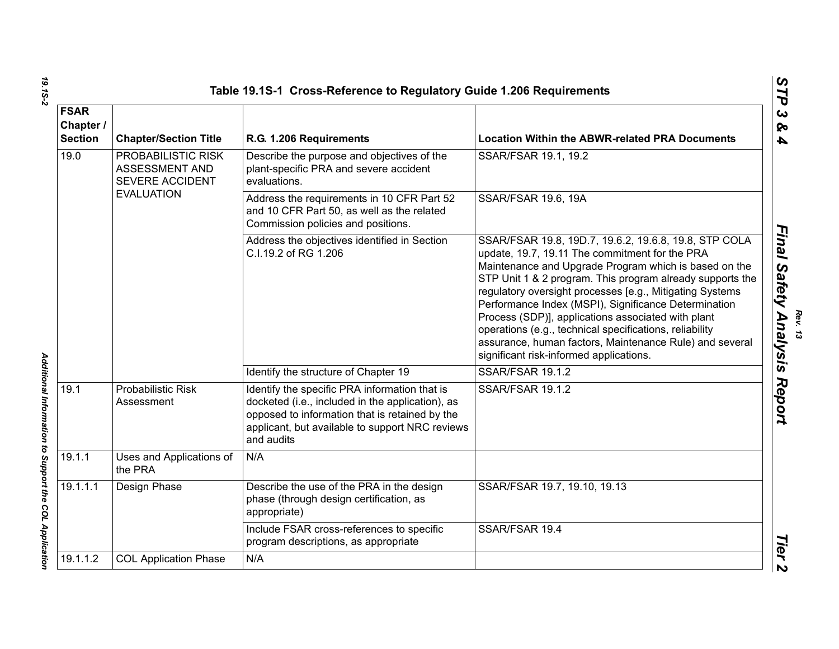| <b>FSAR</b><br>Chapter /<br><b>Section</b> | <b>Chapter/Section Title</b>                                   | R.G. 1.206 Requirements                                                                                                                                                                                              | <b>Location Within the ABWR-related PRA Documents</b>                                                                                                                                                                                                                                                                                                                                                                                                                                                                                                                    |
|--------------------------------------------|----------------------------------------------------------------|----------------------------------------------------------------------------------------------------------------------------------------------------------------------------------------------------------------------|--------------------------------------------------------------------------------------------------------------------------------------------------------------------------------------------------------------------------------------------------------------------------------------------------------------------------------------------------------------------------------------------------------------------------------------------------------------------------------------------------------------------------------------------------------------------------|
| 19.0                                       | PROBABILISTIC RISK<br>ASSESSMENT AND<br><b>SEVERE ACCIDENT</b> | Describe the purpose and objectives of the<br>plant-specific PRA and severe accident<br>evaluations.                                                                                                                 | SSAR/FSAR 19.1, 19.2                                                                                                                                                                                                                                                                                                                                                                                                                                                                                                                                                     |
|                                            | <b>EVALUATION</b>                                              | Address the requirements in 10 CFR Part 52<br>and 10 CFR Part 50, as well as the related<br>Commission policies and positions.                                                                                       | SSAR/FSAR 19.6, 19A                                                                                                                                                                                                                                                                                                                                                                                                                                                                                                                                                      |
|                                            |                                                                | Address the objectives identified in Section<br>C.I.19.2 of RG 1.206                                                                                                                                                 | SSAR/FSAR 19.8, 19D.7, 19.6.2, 19.6.8, 19.8, STP COLA<br>update, 19.7, 19.11 The commitment for the PRA<br>Maintenance and Upgrade Program which is based on the<br>STP Unit 1 & 2 program. This program already supports the<br>regulatory oversight processes [e.g., Mitigating Systems<br>Performance Index (MSPI), Significance Determination<br>Process (SDP)], applications associated with plant<br>operations (e.g., technical specifications, reliability<br>assurance, human factors, Maintenance Rule) and several<br>significant risk-informed applications. |
|                                            |                                                                | Identify the structure of Chapter 19                                                                                                                                                                                 | SSAR/FSAR 19.1.2                                                                                                                                                                                                                                                                                                                                                                                                                                                                                                                                                         |
| 19.1                                       | <b>Probabilistic Risk</b><br>Assessment                        | Identify the specific PRA information that is<br>docketed (i.e., included in the application), as<br>opposed to information that is retained by the<br>applicant, but available to support NRC reviews<br>and audits | <b>SSAR/FSAR 19.1.2</b>                                                                                                                                                                                                                                                                                                                                                                                                                                                                                                                                                  |
| 19.1.1                                     | Uses and Applications of<br>the PRA                            | N/A                                                                                                                                                                                                                  |                                                                                                                                                                                                                                                                                                                                                                                                                                                                                                                                                                          |
| 19.1.1.1                                   | Design Phase                                                   | Describe the use of the PRA in the design<br>phase (through design certification, as<br>appropriate)                                                                                                                 | SSAR/FSAR 19.7, 19.10, 19.13                                                                                                                                                                                                                                                                                                                                                                                                                                                                                                                                             |
|                                            |                                                                | Include FSAR cross-references to specific<br>program descriptions, as appropriate                                                                                                                                    | SSAR/FSAR 19.4                                                                                                                                                                                                                                                                                                                                                                                                                                                                                                                                                           |
| 19.1.1.2                                   | <b>COL Application Phase</b>                                   | N/A                                                                                                                                                                                                                  |                                                                                                                                                                                                                                                                                                                                                                                                                                                                                                                                                                          |

*19.1S-2 Additional Information to Support the COL Application*  Additional Information to Support the COL Application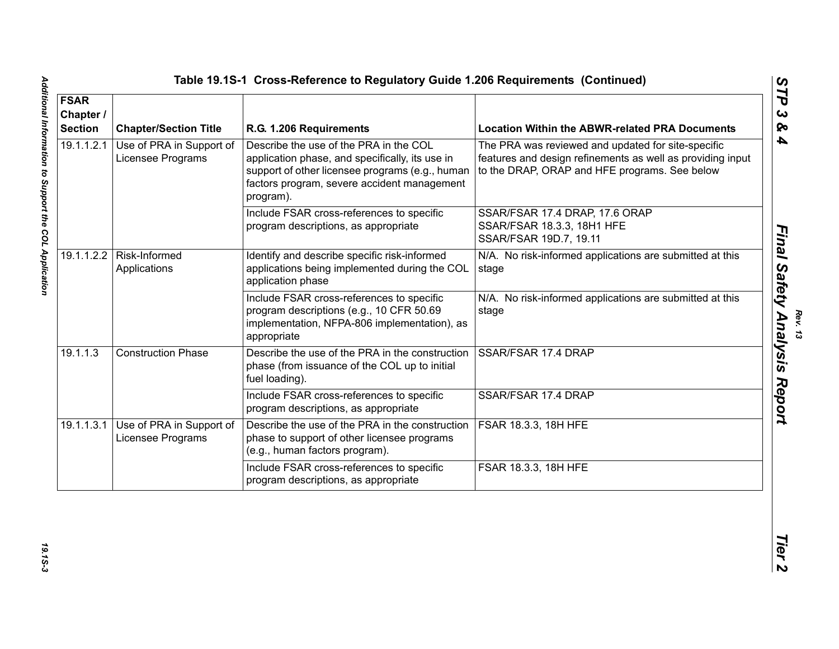| <b>FSAR</b><br>Chapter /<br><b>Section</b> | <b>Chapter/Section Title</b>                  | R.G. 1.206 Requirements                                                                                                                                                                                  | <b>Location Within the ABWR-related PRA Documents</b>                                                                                                             |
|--------------------------------------------|-----------------------------------------------|----------------------------------------------------------------------------------------------------------------------------------------------------------------------------------------------------------|-------------------------------------------------------------------------------------------------------------------------------------------------------------------|
| 19.1.1.2.1                                 | Use of PRA in Support of<br>Licensee Programs | Describe the use of the PRA in the COL<br>application phase, and specifically, its use in<br>support of other licensee programs (e.g., human<br>factors program, severe accident management<br>program). | The PRA was reviewed and updated for site-specific<br>features and design refinements as well as providing input<br>to the DRAP, ORAP and HFE programs. See below |
|                                            |                                               | Include FSAR cross-references to specific<br>program descriptions, as appropriate                                                                                                                        | SSAR/FSAR 17.4 DRAP, 17.6 ORAP<br>SSAR/FSAR 18.3.3, 18H1 HFE<br>SSAR/FSAR 19D.7, 19.11                                                                            |
| 19.1.1.2.2                                 | Risk-Informed<br>Applications                 | Identify and describe specific risk-informed<br>applications being implemented during the COL<br>application phase                                                                                       | N/A. No risk-informed applications are submitted at this<br>stage                                                                                                 |
|                                            |                                               | Include FSAR cross-references to specific<br>program descriptions (e.g., 10 CFR 50.69<br>implementation, NFPA-806 implementation), as<br>appropriate                                                     | N/A. No risk-informed applications are submitted at this<br>stage                                                                                                 |
| 19.1.1.3                                   | <b>Construction Phase</b>                     | Describe the use of the PRA in the construction<br>phase (from issuance of the COL up to initial<br>fuel loading).                                                                                       | SSAR/FSAR 17.4 DRAP                                                                                                                                               |
|                                            |                                               | Include FSAR cross-references to specific<br>program descriptions, as appropriate                                                                                                                        | SSAR/FSAR 17.4 DRAP                                                                                                                                               |
| 19.1.1.3.1                                 | Use of PRA in Support of<br>Licensee Programs | Describe the use of the PRA in the construction<br>phase to support of other licensee programs<br>(e.g., human factors program).                                                                         | FSAR 18.3.3, 18H HFE                                                                                                                                              |
|                                            |                                               | Include FSAR cross-references to specific<br>program descriptions, as appropriate                                                                                                                        | FSAR 18.3.3, 18H HFE                                                                                                                                              |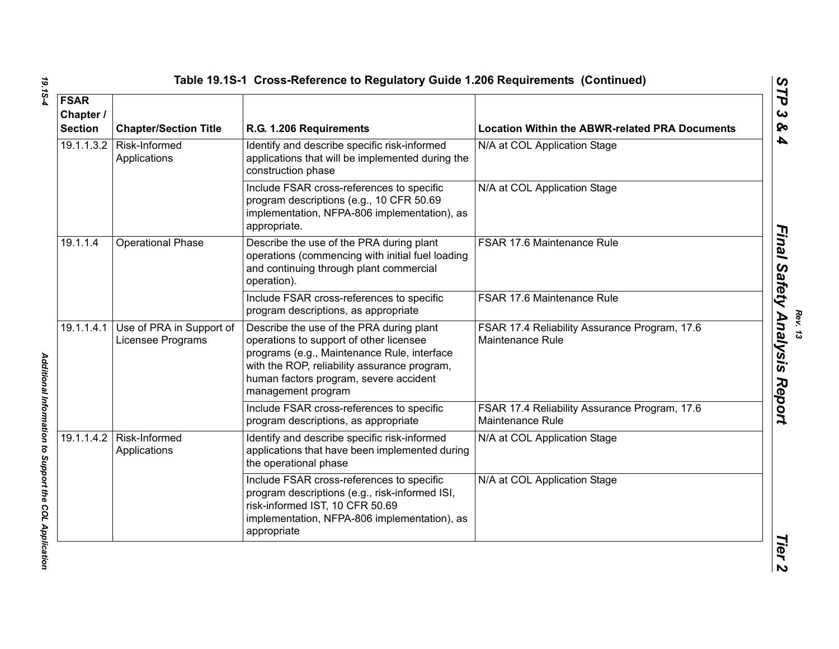| <b>FSAR</b><br>Chapter /<br><b>Section</b> | <b>Chapter/Section Title</b>                             | R.G. 1.206 Requirements                                                                                                                                                                                                                            | <b>Location Within the ABWR-related PRA Documents</b>                    |
|--------------------------------------------|----------------------------------------------------------|----------------------------------------------------------------------------------------------------------------------------------------------------------------------------------------------------------------------------------------------------|--------------------------------------------------------------------------|
|                                            | 19.1.1.3.2   Risk-Informed<br>Applications               | Identify and describe specific risk-informed<br>applications that will be implemented during the<br>construction phase                                                                                                                             | N/A at COL Application Stage                                             |
|                                            |                                                          | Include FSAR cross-references to specific<br>program descriptions (e.g., 10 CFR 50.69<br>implementation, NFPA-806 implementation), as<br>appropriate.                                                                                              | N/A at COL Application Stage                                             |
| 19.1.1.4                                   | Operational Phase                                        | Describe the use of the PRA during plant<br>operations (commencing with initial fuel loading<br>and continuing through plant commercial<br>operation).                                                                                             | FSAR 17.6 Maintenance Rule                                               |
|                                            |                                                          | Include FSAR cross-references to specific<br>program descriptions, as appropriate                                                                                                                                                                  | FSAR 17.6 Maintenance Rule                                               |
|                                            | 19.1.1.4.1 Use of PRA in Support of<br>Licensee Programs | Describe the use of the PRA during plant<br>operations to support of other licensee<br>programs (e.g., Maintenance Rule, interface<br>with the ROP, reliability assurance program,<br>human factors program, severe accident<br>management program | FSAR 17.4 Reliability Assurance Program, 17.6<br><b>Maintenance Rule</b> |
|                                            |                                                          | Include FSAR cross-references to specific<br>program descriptions, as appropriate                                                                                                                                                                  | FSAR 17.4 Reliability Assurance Program, 17.6<br><b>Maintenance Rule</b> |
|                                            | 19.1.1.4.2   Risk-Informed<br>Applications               | Identify and describe specific risk-informed<br>applications that have been implemented during<br>the operational phase                                                                                                                            | N/A at COL Application Stage                                             |
|                                            |                                                          | Include FSAR cross-references to specific<br>program descriptions (e.g., risk-informed ISI,<br>risk-informed IST, 10 CFR 50.69<br>implementation, NFPA-806 implementation), as<br>appropriate                                                      | N/A at COL Application Stage                                             |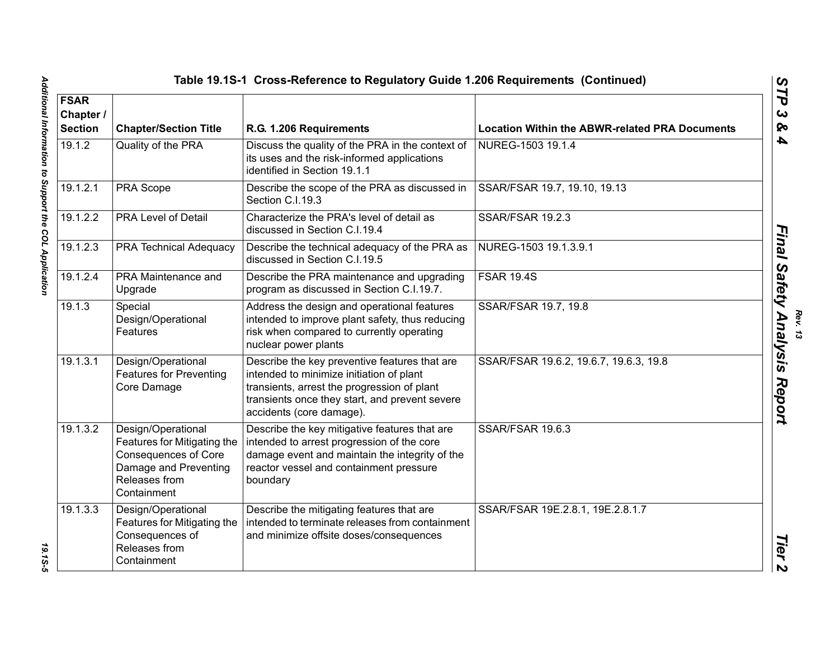| <b>FSAR</b><br>Chapter /<br><b>Section</b> | <b>Chapter/Section Title</b>                                                                                                              | R.G. 1.206 Requirements                                                                                                                                                                                                | <b>Location Within the ABWR-related PRA Documents</b> |
|--------------------------------------------|-------------------------------------------------------------------------------------------------------------------------------------------|------------------------------------------------------------------------------------------------------------------------------------------------------------------------------------------------------------------------|-------------------------------------------------------|
| 19.1.2                                     | Quality of the PRA                                                                                                                        | Discuss the quality of the PRA in the context of<br>its uses and the risk-informed applications<br>identified in Section 19.1.1                                                                                        | NUREG-1503 19.1.4                                     |
| 19.1.2.1                                   | PRA Scope                                                                                                                                 | Describe the scope of the PRA as discussed in<br>Section C.I.19.3                                                                                                                                                      | SSAR/FSAR 19.7, 19.10, 19.13                          |
| 19.1.2.2                                   | <b>PRA Level of Detail</b>                                                                                                                | Characterize the PRA's level of detail as<br>discussed in Section C.I.19.4                                                                                                                                             | <b>SSAR/FSAR 19.2.3</b>                               |
| 19.1.2.3                                   | <b>PRA Technical Adequacy</b>                                                                                                             | Describe the technical adequacy of the PRA as<br>discussed in Section C.I.19.5                                                                                                                                         | NUREG-1503 19.1.3.9.1                                 |
| 19.1.2.4                                   | <b>PRA Maintenance and</b><br>Upgrade                                                                                                     | Describe the PRA maintenance and upgrading<br>program as discussed in Section C.I.19.7.                                                                                                                                | <b>FSAR 19.4S</b>                                     |
| 19.1.3                                     | Special<br>Design/Operational<br>Features                                                                                                 | Address the design and operational features<br>intended to improve plant safety, thus reducing<br>risk when compared to currently operating<br>nuclear power plants                                                    | SSAR/FSAR 19.7, 19.8                                  |
| 19.1.3.1                                   | Design/Operational<br><b>Features for Preventing</b><br>Core Damage                                                                       | Describe the key preventive features that are<br>intended to minimize initiation of plant<br>transients, arrest the progression of plant<br>transients once they start, and prevent severe<br>accidents (core damage). | SSAR/FSAR 19.6.2, 19.6.7, 19.6.3, 19.8                |
| 19.1.3.2                                   | Design/Operational<br>Features for Mitigating the<br><b>Consequences of Core</b><br>Damage and Preventing<br>Releases from<br>Containment | Describe the key mitigative features that are<br>intended to arrest progression of the core<br>damage event and maintain the integrity of the<br>reactor vessel and containment pressure<br>boundary                   | SSAR/FSAR 19.6.3                                      |
| 19.1.3.3                                   | Design/Operational<br>Features for Mitigating the<br>Consequences of<br>Releases from<br>Containment                                      | Describe the mitigating features that are<br>intended to terminate releases from containment<br>and minimize offsite doses/consequences                                                                                | SSAR/FSAR 19E.2.8.1, 19E.2.8.1.7                      |

*Rev. 13*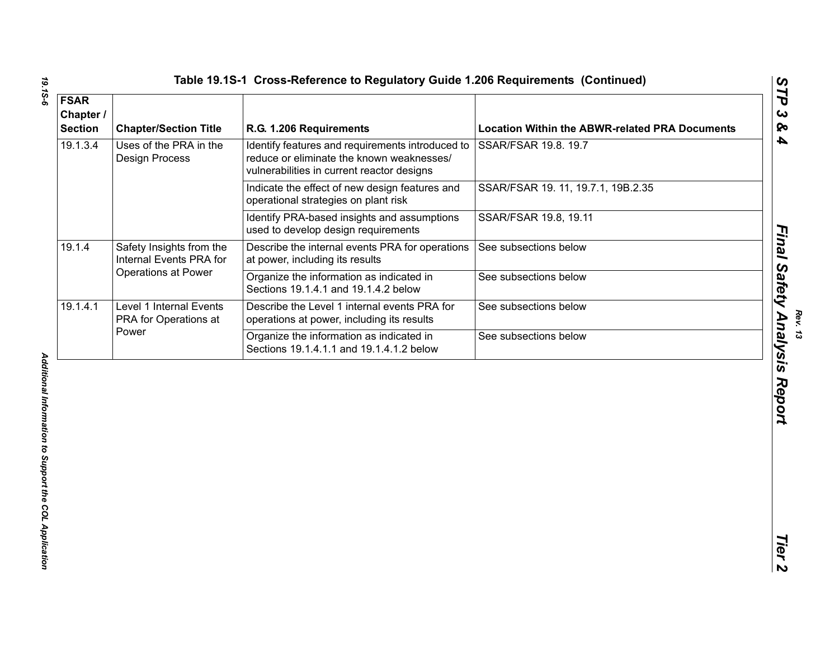|  |  |  | Table 19.1S-1 Cross-Reference to Regulatory Guide 1.206 Requirements (Continued |  |
|--|--|--|---------------------------------------------------------------------------------|--|
|--|--|--|---------------------------------------------------------------------------------|--|

| <b>FSAR</b><br>Chapter /<br><b>Section</b> | <b>Chapter/Section Title</b>                              | R.G. 1.206 Requirements                                                                                                                     | <b>Location Within the ABWR-related PRA Documents</b> |
|--------------------------------------------|-----------------------------------------------------------|---------------------------------------------------------------------------------------------------------------------------------------------|-------------------------------------------------------|
| 19.1.3.4                                   | Uses of the PRA in the<br><b>Design Process</b>           | Identify features and requirements introduced to<br>reduce or eliminate the known weaknesses/<br>vulnerabilities in current reactor designs | SSAR/FSAR 19.8. 19.7                                  |
|                                            |                                                           | Indicate the effect of new design features and<br>operational strategies on plant risk                                                      | SSAR/FSAR 19. 11, 19.7.1, 19B.2.35                    |
|                                            |                                                           | Identify PRA-based insights and assumptions<br>used to develop design requirements                                                          | SSAR/FSAR 19.8, 19.11                                 |
| 19.1.4                                     | Safety Insights from the<br>Internal Events PRA for       | Describe the internal events PRA for operations<br>at power, including its results                                                          | See subsections below                                 |
|                                            | Operations at Power                                       | Organize the information as indicated in<br>Sections 19.1.4.1 and 19.1.4.2 below                                                            | See subsections below                                 |
| 19.1.4.1                                   | Level 1 Internal Events<br>PRA for Operations at<br>Power | Describe the Level 1 internal events PRA for<br>operations at power, including its results                                                  | See subsections below                                 |
|                                            |                                                           | Organize the information as indicated in<br>Sections 19.1.4.1.1 and 19.1.4.1.2 below                                                        | See subsections below                                 |
|                                            |                                                           |                                                                                                                                             |                                                       |
|                                            |                                                           |                                                                                                                                             |                                                       |

*Final Safety Analysis Report*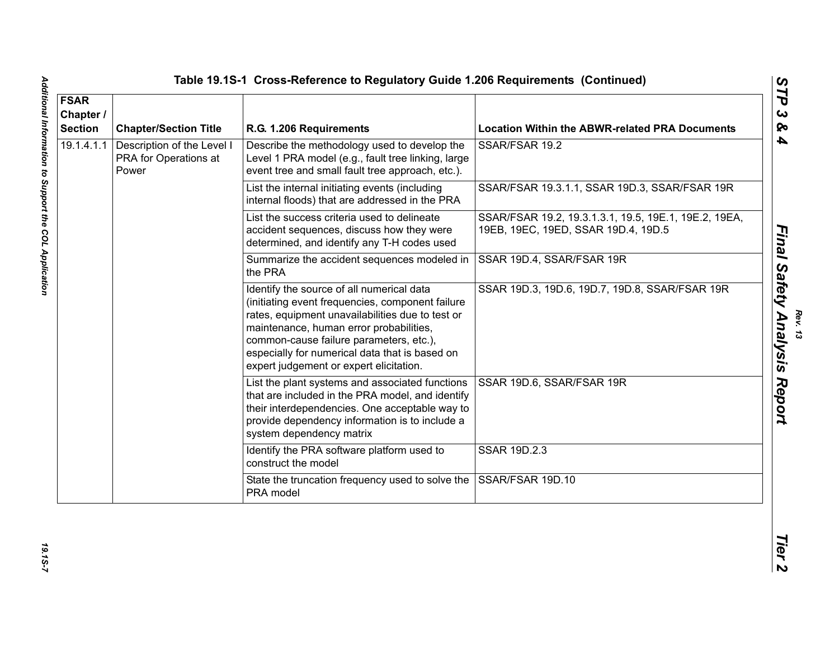| <b>FSAR</b><br>Chapter /<br><b>Section</b> | <b>Chapter/Section Title</b>                                 | R.G. 1.206 Requirements                                                                                                                                                                                                                                                                                                              | <b>Location Within the ABWR-related PRA Documents</b>                                        |
|--------------------------------------------|--------------------------------------------------------------|--------------------------------------------------------------------------------------------------------------------------------------------------------------------------------------------------------------------------------------------------------------------------------------------------------------------------------------|----------------------------------------------------------------------------------------------|
| 19.1.4.1.1                                 | Description of the Level I<br>PRA for Operations at<br>Power | Describe the methodology used to develop the<br>Level 1 PRA model (e.g., fault tree linking, large<br>event tree and small fault tree approach, etc.).                                                                                                                                                                               | SSAR/FSAR 19.2                                                                               |
|                                            |                                                              | List the internal initiating events (including<br>internal floods) that are addressed in the PRA                                                                                                                                                                                                                                     | SSAR/FSAR 19.3.1.1, SSAR 19D.3, SSAR/FSAR 19R                                                |
|                                            |                                                              | List the success criteria used to delineate<br>accident sequences, discuss how they were<br>determined, and identify any T-H codes used                                                                                                                                                                                              | SSAR/FSAR 19.2, 19.3.1.3.1, 19.5, 19E.1, 19E.2, 19EA,<br>19EB, 19EC, 19ED, SSAR 19D.4, 19D.5 |
|                                            |                                                              | Summarize the accident sequences modeled in<br>the PRA                                                                                                                                                                                                                                                                               | SSAR 19D.4, SSAR/FSAR 19R                                                                    |
|                                            |                                                              | Identify the source of all numerical data<br>(initiating event frequencies, component failure<br>rates, equipment unavailabilities due to test or<br>maintenance, human error probabilities,<br>common-cause failure parameters, etc.),<br>especially for numerical data that is based on<br>expert judgement or expert elicitation. | SSAR 19D.3, 19D.6, 19D.7, 19D.8, SSAR/FSAR 19R                                               |
|                                            |                                                              | List the plant systems and associated functions<br>that are included in the PRA model, and identify<br>their interdependencies. One acceptable way to<br>provide dependency information is to include a<br>system dependency matrix                                                                                                  | SSAR 19D.6, SSAR/FSAR 19R                                                                    |
|                                            |                                                              | Identify the PRA software platform used to<br>construct the model                                                                                                                                                                                                                                                                    | <b>SSAR 19D.2.3</b>                                                                          |
|                                            |                                                              | State the truncation frequency used to solve the<br>PRA model                                                                                                                                                                                                                                                                        | SSAR/FSAR 19D.10                                                                             |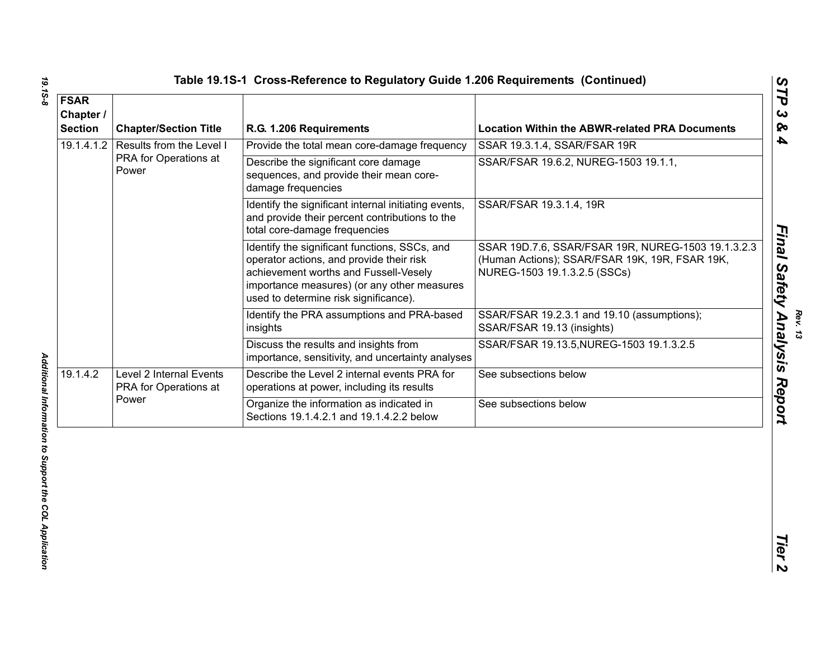| 19.1.4.1.2 | Results from the Level I<br>PRA for Operations at<br>Power | Provide the total mean core-damage frequency<br>Describe the significant core damage<br>sequences, and provide their mean core-                                                                                            | SSAR 19.3.1.4, SSAR/FSAR 19R<br>SSAR/FSAR 19.6.2, NUREG-1503 19.1.1,                                                                 |
|------------|------------------------------------------------------------|----------------------------------------------------------------------------------------------------------------------------------------------------------------------------------------------------------------------------|--------------------------------------------------------------------------------------------------------------------------------------|
|            |                                                            |                                                                                                                                                                                                                            |                                                                                                                                      |
|            |                                                            | damage frequencies                                                                                                                                                                                                         |                                                                                                                                      |
|            |                                                            | Identify the significant internal initiating events,<br>and provide their percent contributions to the<br>total core-damage frequencies                                                                                    | SSAR/FSAR 19.3.1.4, 19R                                                                                                              |
|            |                                                            | Identify the significant functions, SSCs, and<br>operator actions, and provide their risk<br>achievement worths and Fussell-Vesely<br>importance measures) (or any other measures<br>used to determine risk significance). | SSAR 19D.7.6, SSAR/FSAR 19R, NUREG-1503 19.1.3.2.3<br>(Human Actions); SSAR/FSAR 19K, 19R, FSAR 19K,<br>NUREG-1503 19.1.3.2.5 (SSCs) |
|            |                                                            | Identify the PRA assumptions and PRA-based<br>insights                                                                                                                                                                     | SSAR/FSAR 19.2.3.1 and 19.10 (assumptions);<br>SSAR/FSAR 19.13 (insights)                                                            |
|            |                                                            | Discuss the results and insights from<br>importance, sensitivity, and uncertainty analyses                                                                                                                                 | SSAR/FSAR 19.13.5, NUREG-1503 19.1.3.2.5                                                                                             |
| 19.1.4.2   | Level 2 Internal Events<br>PRA for Operations at           | Describe the Level 2 internal events PRA for<br>operations at power, including its results                                                                                                                                 | See subsections below                                                                                                                |
|            | Power                                                      | Organize the information as indicated in<br>Sections 19.1.4.2.1 and 19.1.4.2.2 below                                                                                                                                       | See subsections below                                                                                                                |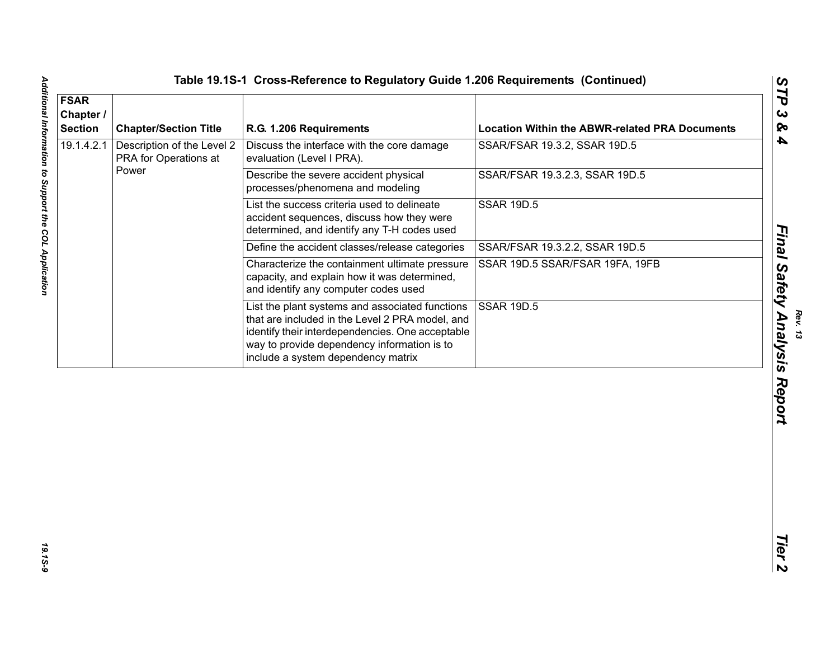| Description of the Level 2<br>Discuss the interface with the core damage<br>SSAR/FSAR 19.3.2, SSAR 19D.5<br>PRA for Operations at<br>evaluation (Level I PRA).<br>Power<br>Describe the severe accident physical<br>SSAR/FSAR 19.3.2.3, SSAR 19D.5<br>processes/phenomena and modeling<br>List the success criteria used to delineate<br><b>SSAR 19D.5</b><br>accident sequences, discuss how they were<br>determined, and identify any T-H codes used<br>Define the accident classes/release categories<br>SSAR/FSAR 19.3.2.2, SSAR 19D.5<br>Characterize the containment ultimate pressure<br>SSAR 19D.5 SSAR/FSAR 19FA, 19FB<br>capacity, and explain how it was determined,<br>and identify any computer codes used<br>List the plant systems and associated functions<br><b>SSAR 19D.5</b><br>that are included in the Level 2 PRA model, and<br>identify their interdependencies. One acceptable<br>way to provide dependency information is to<br>include a system dependency matrix | <b>FSAR</b><br>Chapter /<br><b>Section</b> | <b>Chapter/Section Title</b> | R.G. 1.206 Requirements | <b>Location Within the ABWR-related PRA Documents</b> |
|---------------------------------------------------------------------------------------------------------------------------------------------------------------------------------------------------------------------------------------------------------------------------------------------------------------------------------------------------------------------------------------------------------------------------------------------------------------------------------------------------------------------------------------------------------------------------------------------------------------------------------------------------------------------------------------------------------------------------------------------------------------------------------------------------------------------------------------------------------------------------------------------------------------------------------------------------------------------------------------------|--------------------------------------------|------------------------------|-------------------------|-------------------------------------------------------|
|                                                                                                                                                                                                                                                                                                                                                                                                                                                                                                                                                                                                                                                                                                                                                                                                                                                                                                                                                                                             | 19.1.4.2.1                                 |                              |                         |                                                       |
|                                                                                                                                                                                                                                                                                                                                                                                                                                                                                                                                                                                                                                                                                                                                                                                                                                                                                                                                                                                             |                                            |                              |                         |                                                       |
|                                                                                                                                                                                                                                                                                                                                                                                                                                                                                                                                                                                                                                                                                                                                                                                                                                                                                                                                                                                             |                                            |                              |                         |                                                       |
|                                                                                                                                                                                                                                                                                                                                                                                                                                                                                                                                                                                                                                                                                                                                                                                                                                                                                                                                                                                             |                                            |                              |                         |                                                       |
|                                                                                                                                                                                                                                                                                                                                                                                                                                                                                                                                                                                                                                                                                                                                                                                                                                                                                                                                                                                             |                                            |                              |                         |                                                       |
|                                                                                                                                                                                                                                                                                                                                                                                                                                                                                                                                                                                                                                                                                                                                                                                                                                                                                                                                                                                             |                                            |                              |                         |                                                       |
|                                                                                                                                                                                                                                                                                                                                                                                                                                                                                                                                                                                                                                                                                                                                                                                                                                                                                                                                                                                             |                                            |                              |                         |                                                       |
|                                                                                                                                                                                                                                                                                                                                                                                                                                                                                                                                                                                                                                                                                                                                                                                                                                                                                                                                                                                             |                                            |                              |                         |                                                       |
|                                                                                                                                                                                                                                                                                                                                                                                                                                                                                                                                                                                                                                                                                                                                                                                                                                                                                                                                                                                             |                                            |                              |                         |                                                       |
|                                                                                                                                                                                                                                                                                                                                                                                                                                                                                                                                                                                                                                                                                                                                                                                                                                                                                                                                                                                             |                                            |                              |                         |                                                       |

*Final Safety Analysis Report*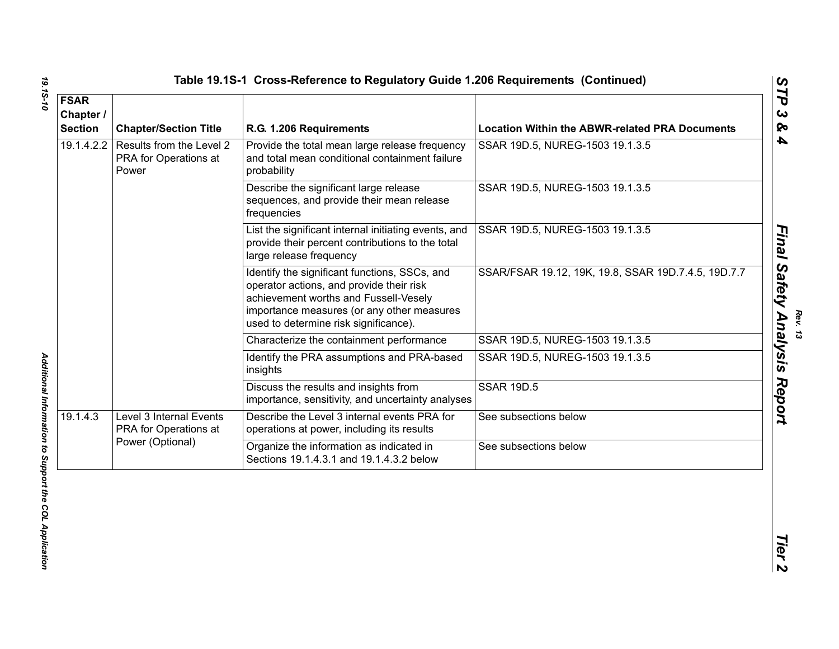| <b>FSAR</b><br>Chapter /<br><b>Section</b> | <b>Chapter/Section Title</b>                                         | R.G. 1.206 Requirements                                                                                                                                                                                                   | <b>Location Within the ABWR-related PRA Documents</b> |
|--------------------------------------------|----------------------------------------------------------------------|---------------------------------------------------------------------------------------------------------------------------------------------------------------------------------------------------------------------------|-------------------------------------------------------|
| 19.1.4.2.2                                 | Results from the Level 2<br>PRA for Operations at<br>Power           | Provide the total mean large release frequency<br>and total mean conditional containment failure<br>probability                                                                                                           | SSAR 19D.5, NUREG-1503 19.1.3.5                       |
|                                            |                                                                      | Describe the significant large release<br>sequences, and provide their mean release<br>frequencies                                                                                                                        | SSAR 19D.5, NUREG-1503 19.1.3.5                       |
|                                            |                                                                      | List the significant internal initiating events, and<br>provide their percent contributions to the total<br>large release frequency                                                                                       | SSAR 19D.5, NUREG-1503 19.1.3.5                       |
|                                            |                                                                      | Identify the significant functions, SSCs, and<br>operator actions, and provide their risk<br>achievement worths and Fussell-Vesely<br>importance measures (or any other measures<br>used to determine risk significance). | SSAR/FSAR 19.12, 19K, 19.8, SSAR 19D.7.4.5, 19D.7.7   |
|                                            |                                                                      | Characterize the containment performance                                                                                                                                                                                  | SSAR 19D.5, NUREG-1503 19.1.3.5                       |
|                                            |                                                                      | Identify the PRA assumptions and PRA-based<br>insights                                                                                                                                                                    | SSAR 19D.5, NUREG-1503 19.1.3.5                       |
|                                            |                                                                      | Discuss the results and insights from<br>importance, sensitivity, and uncertainty analyses                                                                                                                                | <b>SSAR 19D.5</b>                                     |
| 19.1.4.3                                   | Level 3 Internal Events<br>PRA for Operations at<br>Power (Optional) | Describe the Level 3 internal events PRA for<br>operations at power, including its results                                                                                                                                | See subsections below                                 |
|                                            |                                                                      | Organize the information as indicated in<br>Sections 19.1.4.3.1 and 19.1.4.3.2 below                                                                                                                                      | See subsections below                                 |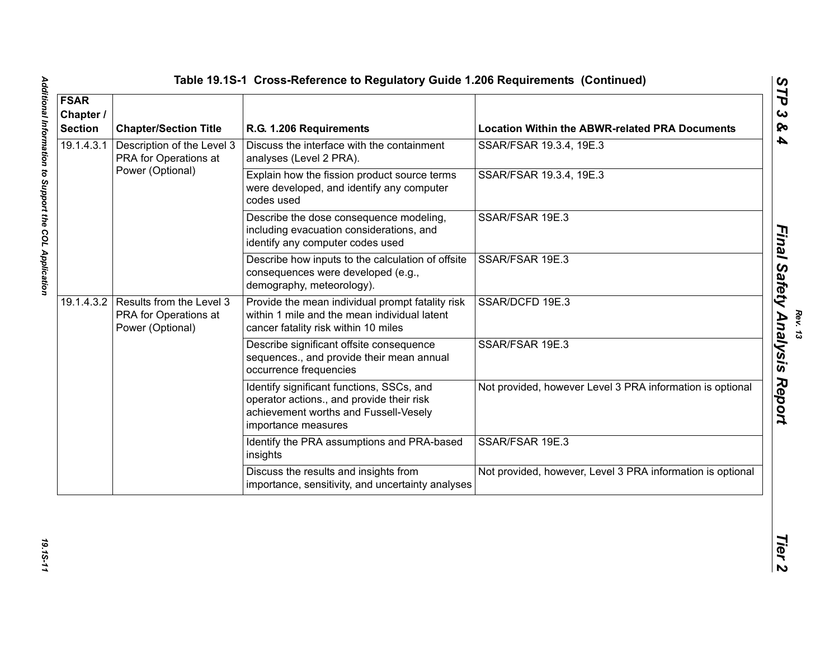| <b>FSAR</b><br>Chapter /<br><b>Section</b> | <b>Chapter/Section Title</b>                                                     | R.G. 1.206 Requirements                                                                                                                                | <b>Location Within the ABWR-related PRA Documents</b>      |
|--------------------------------------------|----------------------------------------------------------------------------------|--------------------------------------------------------------------------------------------------------------------------------------------------------|------------------------------------------------------------|
| 19.1.4.3.1                                 | Description of the Level 3<br>PRA for Operations at                              | Discuss the interface with the containment<br>analyses (Level 2 PRA).                                                                                  | SSAR/FSAR 19.3.4, 19E.3                                    |
|                                            | Power (Optional)                                                                 | Explain how the fission product source terms<br>were developed, and identify any computer<br>codes used                                                | SSAR/FSAR 19.3.4, 19E.3                                    |
|                                            |                                                                                  | Describe the dose consequence modeling,<br>including evacuation considerations, and<br>identify any computer codes used                                | SSAR/FSAR 19E.3                                            |
|                                            |                                                                                  | Describe how inputs to the calculation of offsite<br>consequences were developed (e.g.,<br>demography, meteorology).                                   | SSAR/FSAR 19E.3                                            |
|                                            | 19.1.4.3.2 Results from the Level 3<br>PRA for Operations at<br>Power (Optional) | Provide the mean individual prompt fatality risk<br>within 1 mile and the mean individual latent<br>cancer fatality risk within 10 miles               | SSAR/DCFD 19E.3                                            |
|                                            |                                                                                  | Describe significant offsite consequence<br>sequences., and provide their mean annual<br>occurrence frequencies                                        | SSAR/FSAR 19E.3                                            |
|                                            |                                                                                  | Identify significant functions, SSCs, and<br>operator actions., and provide their risk<br>achievement worths and Fussell-Vesely<br>importance measures | Not provided, however Level 3 PRA information is optional  |
|                                            |                                                                                  | Identify the PRA assumptions and PRA-based<br>insights                                                                                                 | SSAR/FSAR 19E.3                                            |
|                                            |                                                                                  | Discuss the results and insights from<br>importance, sensitivity, and uncertainty analyses                                                             | Not provided, however, Level 3 PRA information is optional |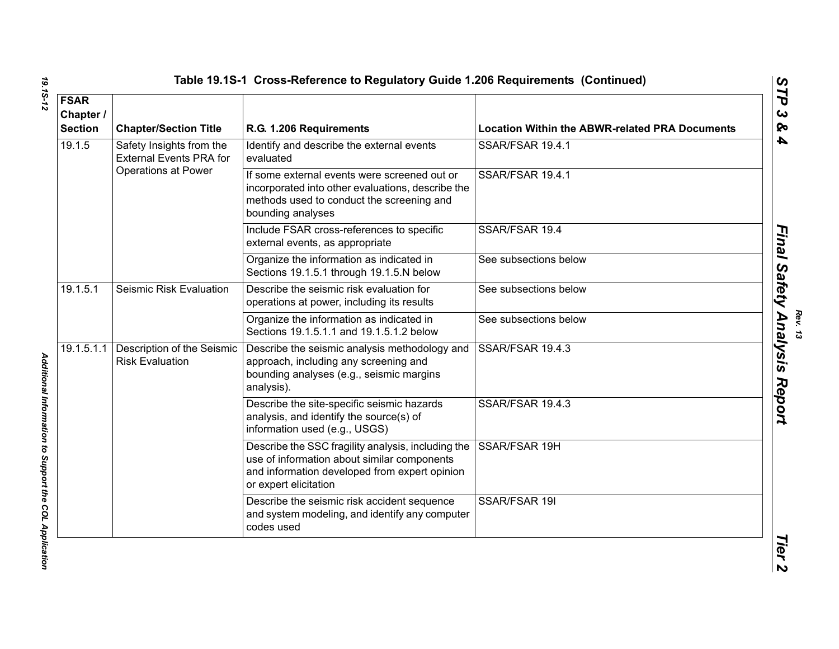|  | Table 19.1S-1 Cross-Reference to Regulatory Guide 1.206 Requirements (Continued) |  |
|--|----------------------------------------------------------------------------------|--|
|  |                                                                                  |  |

| <b>FSAR</b><br>Chapter /<br><b>Section</b>                                                  | <b>Chapter/Section Title</b>                           | R.G. 1.206 Requirements                                                                                                                                                     | <b>Location Within the ABWR-related PRA Documents</b> |
|---------------------------------------------------------------------------------------------|--------------------------------------------------------|-----------------------------------------------------------------------------------------------------------------------------------------------------------------------------|-------------------------------------------------------|
| 19.1.5<br>Safety Insights from the<br><b>External Events PRA for</b><br>Operations at Power | Identify and describe the external events<br>evaluated | SSAR/FSAR 19.4.1                                                                                                                                                            |                                                       |
|                                                                                             |                                                        | If some external events were screened out or<br>incorporated into other evaluations, describe the<br>methods used to conduct the screening and<br>bounding analyses         | SSAR/FSAR 19.4.1                                      |
|                                                                                             |                                                        | Include FSAR cross-references to specific<br>external events, as appropriate                                                                                                | SSAR/FSAR 19.4                                        |
|                                                                                             |                                                        | Organize the information as indicated in<br>Sections 19.1.5.1 through 19.1.5.N below                                                                                        | See subsections below                                 |
| 19.1.5.1                                                                                    | Seismic Risk Evaluation                                | Describe the seismic risk evaluation for<br>operations at power, including its results                                                                                      | See subsections below                                 |
|                                                                                             |                                                        | Organize the information as indicated in<br>Sections 19.1.5.1.1 and 19.1.5.1.2 below                                                                                        | See subsections below                                 |
| 19.1.5.1.1                                                                                  | Description of the Seismic<br><b>Risk Evaluation</b>   | Describe the seismic analysis methodology and<br>approach, including any screening and<br>bounding analyses (e.g., seismic margins<br>analysis).                            | SSAR/FSAR 19.4.3                                      |
|                                                                                             |                                                        | Describe the site-specific seismic hazards<br>analysis, and identify the source(s) of<br>information used (e.g., USGS)                                                      | SSAR/FSAR 19.4.3                                      |
|                                                                                             |                                                        | Describe the SSC fragility analysis, including the<br>use of information about similar components<br>and information developed from expert opinion<br>or expert elicitation | SSAR/FSAR 19H                                         |
|                                                                                             |                                                        | Describe the seismic risk accident sequence<br>and system modeling, and identify any computer<br>codes used                                                                 | SSAR/FSAR 19I                                         |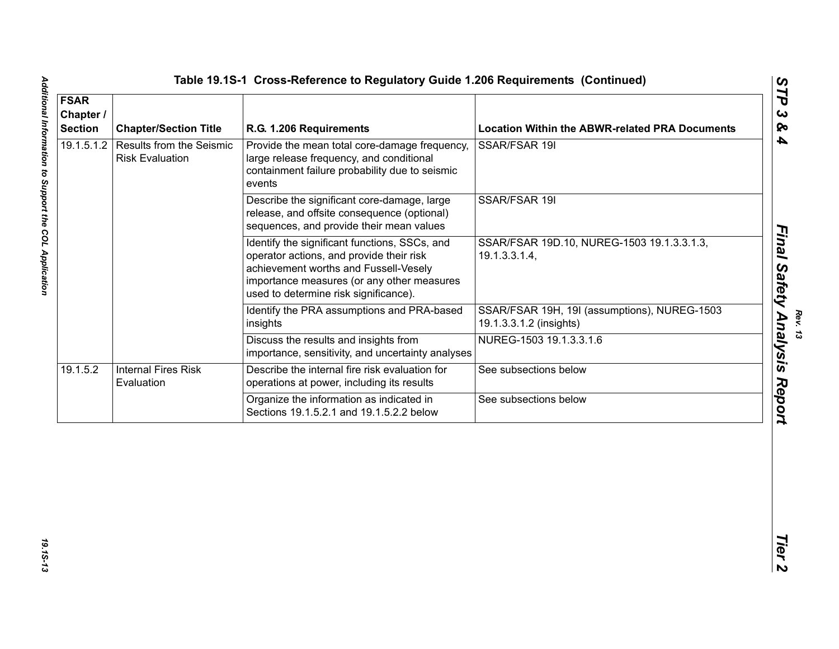| <b>FSAR</b><br>Chapter /<br><b>Section</b> | <b>Chapter/Section Title</b>                                  | R.G. 1.206 Requirements                                                                                                                                                                                                   | <b>Location Within the ABWR-related PRA Documents</b>                   |
|--------------------------------------------|---------------------------------------------------------------|---------------------------------------------------------------------------------------------------------------------------------------------------------------------------------------------------------------------------|-------------------------------------------------------------------------|
|                                            | 19.1.5.1.2 Results from the Seismic<br><b>Risk Evaluation</b> | Provide the mean total core-damage frequency,<br>large release frequency, and conditional<br>containment failure probability due to seismic<br>events                                                                     | SSAR/FSAR 19I                                                           |
|                                            |                                                               | Describe the significant core-damage, large<br>release, and offsite consequence (optional)<br>sequences, and provide their mean values                                                                                    | SSAR/FSAR 19I                                                           |
|                                            |                                                               | Identify the significant functions, SSCs, and<br>operator actions, and provide their risk<br>achievement worths and Fussell-Vesely<br>importance measures (or any other measures<br>used to determine risk significance). | SSAR/FSAR 19D.10, NUREG-1503 19.1.3.3.1.3,<br>19.1.3.3.1.4,             |
|                                            |                                                               | Identify the PRA assumptions and PRA-based<br>insights                                                                                                                                                                    | SSAR/FSAR 19H, 19I (assumptions), NUREG-1503<br>19.1.3.3.1.2 (insights) |
|                                            |                                                               | Discuss the results and insights from<br>importance, sensitivity, and uncertainty analyses                                                                                                                                | NUREG-1503 19.1.3.3.1.6                                                 |
| 19.1.5.2                                   | <b>Internal Fires Risk</b><br>Evaluation                      | Describe the internal fire risk evaluation for<br>operations at power, including its results                                                                                                                              | See subsections below                                                   |
|                                            |                                                               | Organize the information as indicated in<br>Sections 19.1.5.2.1 and 19.1.5.2.2 below                                                                                                                                      | See subsections below                                                   |

**Rev. 13<br>Analı**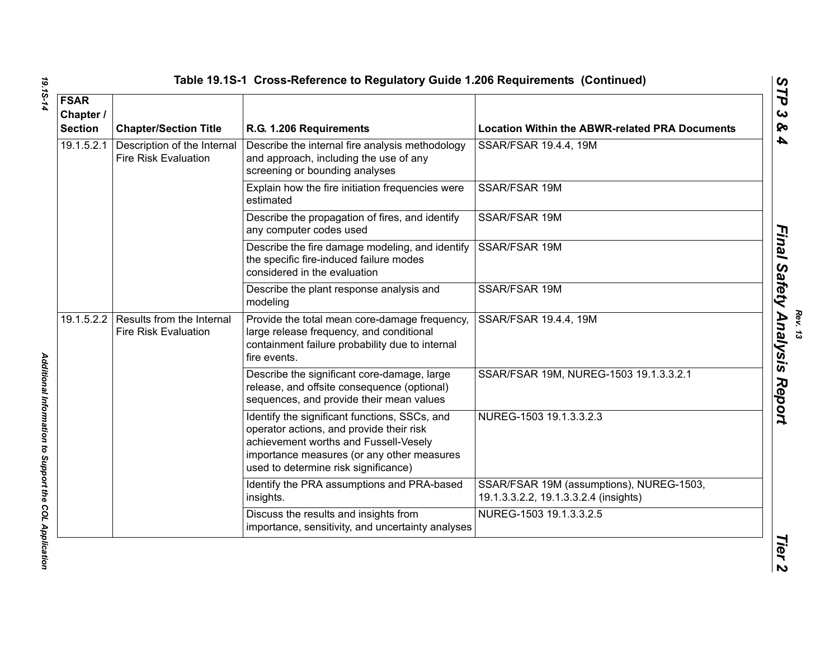| <b>FSAR</b><br>Chapter /<br><b>Section</b> | <b>Chapter/Section Title</b>                               | R.G. 1.206 Requirements                                                                                                                                                                                                  | <b>Location Within the ABWR-related PRA Documents</b>                             |
|--------------------------------------------|------------------------------------------------------------|--------------------------------------------------------------------------------------------------------------------------------------------------------------------------------------------------------------------------|-----------------------------------------------------------------------------------|
| 19.1.5.2.1                                 | Description of the Internal<br><b>Fire Risk Evaluation</b> | Describe the internal fire analysis methodology<br>and approach, including the use of any<br>screening or bounding analyses                                                                                              | SSAR/FSAR 19.4.4, 19M                                                             |
|                                            |                                                            | Explain how the fire initiation frequencies were<br>estimated                                                                                                                                                            | SSAR/FSAR 19M                                                                     |
|                                            |                                                            | Describe the propagation of fires, and identify<br>any computer codes used                                                                                                                                               | <b>SSAR/FSAR 19M</b>                                                              |
|                                            |                                                            | Describe the fire damage modeling, and identify<br>the specific fire-induced failure modes<br>considered in the evaluation                                                                                               | SSAR/FSAR 19M                                                                     |
|                                            |                                                            | Describe the plant response analysis and<br>modeling                                                                                                                                                                     | SSAR/FSAR 19M                                                                     |
| 19.1.5.2.2                                 | Results from the Internal<br><b>Fire Risk Evaluation</b>   | Provide the total mean core-damage frequency,<br>large release frequency, and conditional<br>containment failure probability due to internal<br>fire events.                                                             | SSAR/FSAR 19.4.4, 19M                                                             |
|                                            |                                                            | Describe the significant core-damage, large<br>release, and offsite consequence (optional)<br>sequences, and provide their mean values                                                                                   | SSAR/FSAR 19M, NUREG-1503 19.1.3.3.2.1                                            |
|                                            |                                                            | Identify the significant functions, SSCs, and<br>operator actions, and provide their risk<br>achievement worths and Fussell-Vesely<br>importance measures (or any other measures<br>used to determine risk significance) | NUREG-1503 19.1.3.3.2.3                                                           |
|                                            |                                                            | Identify the PRA assumptions and PRA-based<br>insights.                                                                                                                                                                  | SSAR/FSAR 19M (assumptions), NUREG-1503,<br>19.1.3.3.2.2, 19.1.3.3.2.4 (insights) |
|                                            |                                                            | Discuss the results and insights from<br>importance, sensitivity, and uncertainty analyses                                                                                                                               | NUREG-1503 19.1.3.3.2.5                                                           |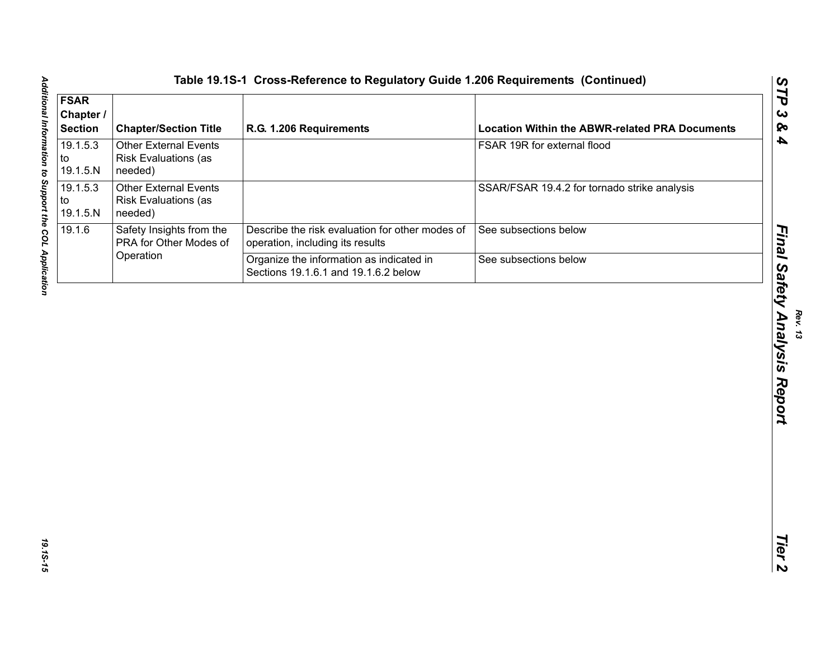|                                                                        | R.G. 1.206 Requirements                                                             | <b>Location Within the ABWR-related PRA Documents</b> |
|------------------------------------------------------------------------|-------------------------------------------------------------------------------------|-------------------------------------------------------|
| <b>Other External Events</b><br><b>Risk Evaluations (as</b><br>needed) |                                                                                     | FSAR 19R for external flood                           |
| <b>Other External Events</b><br><b>Risk Evaluations (as</b><br>needed) |                                                                                     | SSAR/FSAR 19.4.2 for tornado strike analysis          |
| Safety Insights from the<br>PRA for Other Modes of                     | Describe the risk evaluation for other modes of<br>operation, including its results | See subsections below                                 |
|                                                                        | Organize the information as indicated in                                            | See subsections below                                 |
|                                                                        |                                                                                     |                                                       |
|                                                                        |                                                                                     |                                                       |
|                                                                        | Operation                                                                           | Sections 19.1.6.1 and 19.1.6.2 below                  |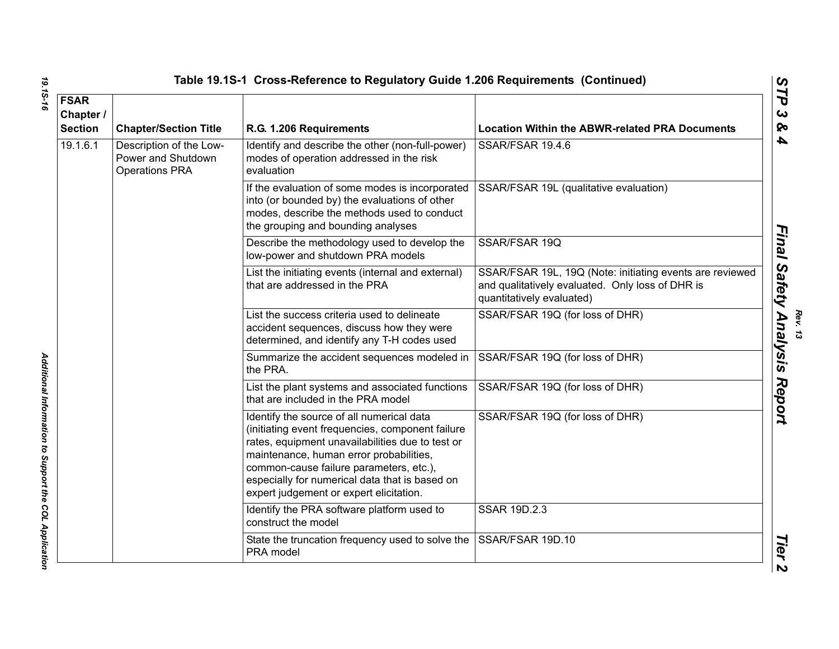| <b>FSAR</b><br>Chapter /<br><b>Section</b> | <b>Chapter/Section Title</b>                                           | R.G. 1.206 Requirements                                                                                                                                                                                                                                                                                                              | <b>Location Within the ABWR-related PRA Documents</b>                                                                                     |
|--------------------------------------------|------------------------------------------------------------------------|--------------------------------------------------------------------------------------------------------------------------------------------------------------------------------------------------------------------------------------------------------------------------------------------------------------------------------------|-------------------------------------------------------------------------------------------------------------------------------------------|
| 19.1.6.1                                   | Description of the Low-<br>Power and Shutdown<br><b>Operations PRA</b> | Identify and describe the other (non-full-power)<br>modes of operation addressed in the risk<br>evaluation                                                                                                                                                                                                                           | SSAR/FSAR 19.4.6                                                                                                                          |
|                                            |                                                                        | If the evaluation of some modes is incorporated<br>into (or bounded by) the evaluations of other<br>modes, describe the methods used to conduct<br>the grouping and bounding analyses                                                                                                                                                | SSAR/FSAR 19L (qualitative evaluation)                                                                                                    |
|                                            |                                                                        | Describe the methodology used to develop the<br>low-power and shutdown PRA models                                                                                                                                                                                                                                                    | SSAR/FSAR 19Q                                                                                                                             |
|                                            |                                                                        | List the initiating events (internal and external)<br>that are addressed in the PRA                                                                                                                                                                                                                                                  | SSAR/FSAR 19L, 19Q (Note: initiating events are reviewed<br>and qualitatively evaluated. Only loss of DHR is<br>quantitatively evaluated) |
|                                            |                                                                        | List the success criteria used to delineate<br>accident sequences, discuss how they were<br>determined, and identify any T-H codes used                                                                                                                                                                                              | SSAR/FSAR 19Q (for loss of DHR)                                                                                                           |
|                                            |                                                                        | Summarize the accident sequences modeled in<br>the PRA.                                                                                                                                                                                                                                                                              | SSAR/FSAR 19Q (for loss of DHR)                                                                                                           |
|                                            |                                                                        | List the plant systems and associated functions<br>that are included in the PRA model                                                                                                                                                                                                                                                | SSAR/FSAR 19Q (for loss of DHR)                                                                                                           |
|                                            |                                                                        | Identify the source of all numerical data<br>(initiating event frequencies, component failure<br>rates, equipment unavailabilities due to test or<br>maintenance, human error probabilities,<br>common-cause failure parameters, etc.),<br>especially for numerical data that is based on<br>expert judgement or expert elicitation. | SSAR/FSAR 19Q (for loss of DHR)                                                                                                           |
|                                            |                                                                        | Identify the PRA software platform used to<br>construct the model                                                                                                                                                                                                                                                                    | <b>SSAR 19D.2.3</b>                                                                                                                       |
|                                            |                                                                        | State the truncation frequency used to solve the<br>PRA model                                                                                                                                                                                                                                                                        | SSAR/FSAR 19D.10                                                                                                                          |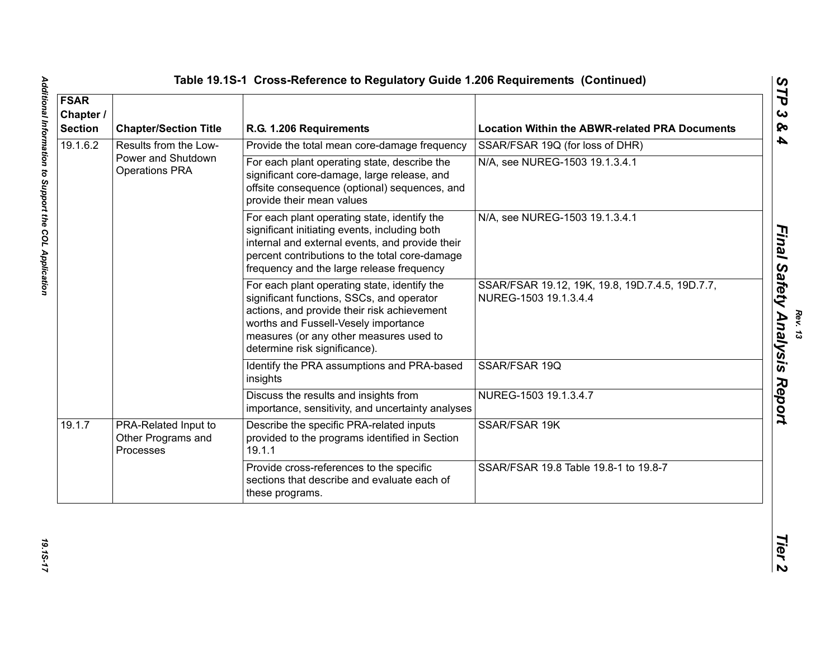| <b>FSAR</b><br>Chapter /<br><b>Section</b> | <b>Chapter/Section Title</b>                            | R.G. 1.206 Requirements                                                                                                                                                                                                                                      | <b>Location Within the ABWR-related PRA Documents</b>                    |
|--------------------------------------------|---------------------------------------------------------|--------------------------------------------------------------------------------------------------------------------------------------------------------------------------------------------------------------------------------------------------------------|--------------------------------------------------------------------------|
| 19.1.6.2                                   | Results from the Low-                                   | Provide the total mean core-damage frequency                                                                                                                                                                                                                 | SSAR/FSAR 19Q (for loss of DHR)                                          |
|                                            | Power and Shutdown<br><b>Operations PRA</b>             | For each plant operating state, describe the<br>significant core-damage, large release, and<br>offsite consequence (optional) sequences, and<br>provide their mean values                                                                                    | N/A, see NUREG-1503 19.1.3.4.1                                           |
|                                            |                                                         | For each plant operating state, identify the<br>significant initiating events, including both<br>internal and external events, and provide their<br>percent contributions to the total core-damage<br>frequency and the large release frequency              | N/A, see NUREG-1503 19.1.3.4.1                                           |
|                                            |                                                         | For each plant operating state, identify the<br>significant functions, SSCs, and operator<br>actions, and provide their risk achievement<br>worths and Fussell-Vesely importance<br>measures (or any other measures used to<br>determine risk significance). | SSAR/FSAR 19.12, 19K, 19.8, 19D.7.4.5, 19D.7.7,<br>NUREG-1503 19.1.3.4.4 |
|                                            |                                                         | Identify the PRA assumptions and PRA-based<br>insights                                                                                                                                                                                                       | SSAR/FSAR 19Q                                                            |
|                                            |                                                         | Discuss the results and insights from<br>importance, sensitivity, and uncertainty analyses                                                                                                                                                                   | NUREG-1503 19.1.3.4.7                                                    |
| 19.1.7                                     | PRA-Related Input to<br>Other Programs and<br>Processes | Describe the specific PRA-related inputs<br>provided to the programs identified in Section<br>19.1.1                                                                                                                                                         | SSAR/FSAR 19K                                                            |
|                                            |                                                         | Provide cross-references to the specific<br>sections that describe and evaluate each of<br>these programs.                                                                                                                                                   | SSAR/FSAR 19.8 Table 19.8-1 to 19.8-7                                    |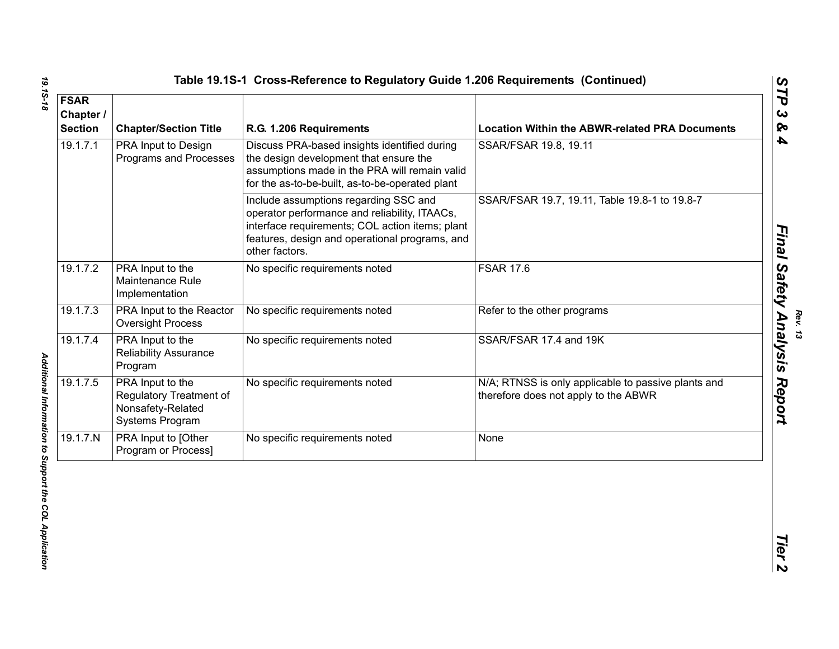|     |                                                      | Table 19.1S-1 Cross-Reference to Regulatory Guide 1.206 Requirements (Continued)                                                        |                                                       |
|-----|------------------------------------------------------|-----------------------------------------------------------------------------------------------------------------------------------------|-------------------------------------------------------|
| r / | <b>Chapter/Section Title</b>                         | R.G. 1.206 Requirements                                                                                                                 | <b>Location Within the ABWR-related PRA Documents</b> |
|     | <b>PRA Input to Design</b><br>Programs and Processes | Discuss PRA-based insights identified during<br>the design development that ensure the<br>posumptions mode in the DDA will remain valid | SSAR/FSAR 19.8, 19.11                                 |

| <b>FSAR</b><br>Chapter /<br><b>Section</b> | <b>Chapter/Section Title</b>                                                        | R.G. 1.206 Requirements                                                                                                                                                                                       | <b>Location Within the ABWR-related PRA Documents</b>                                       |
|--------------------------------------------|-------------------------------------------------------------------------------------|---------------------------------------------------------------------------------------------------------------------------------------------------------------------------------------------------------------|---------------------------------------------------------------------------------------------|
| 19.1.7.1                                   | PRA Input to Design<br>Programs and Processes                                       | Discuss PRA-based insights identified during<br>the design development that ensure the<br>assumptions made in the PRA will remain valid<br>for the as-to-be-built, as-to-be-operated plant                    | SSAR/FSAR 19.8, 19.11                                                                       |
|                                            |                                                                                     | Include assumptions regarding SSC and<br>operator performance and reliability, ITAACs,<br>interface requirements; COL action items; plant<br>features, design and operational programs, and<br>other factors. | SSAR/FSAR 19.7, 19.11, Table 19.8-1 to 19.8-7                                               |
| 19.1.7.2                                   | PRA Input to the<br>Maintenance Rule<br>Implementation                              | No specific requirements noted                                                                                                                                                                                | <b>FSAR 17.6</b>                                                                            |
| 19.1.7.3                                   | PRA Input to the Reactor<br><b>Oversight Process</b>                                | No specific requirements noted                                                                                                                                                                                | Refer to the other programs                                                                 |
| 19.1.7.4                                   | PRA Input to the<br><b>Reliability Assurance</b><br>Program                         | No specific requirements noted                                                                                                                                                                                | SSAR/FSAR 17.4 and 19K                                                                      |
| 19.1.7.5                                   | PRA Input to the<br>Regulatory Treatment of<br>Nonsafety-Related<br>Systems Program | No specific requirements noted                                                                                                                                                                                | N/A; RTNSS is only applicable to passive plants and<br>therefore does not apply to the ABWR |
| 19.1.7N                                    | PRA Input to [Other<br>Program or Process]                                          | No specific requirements noted                                                                                                                                                                                | None                                                                                        |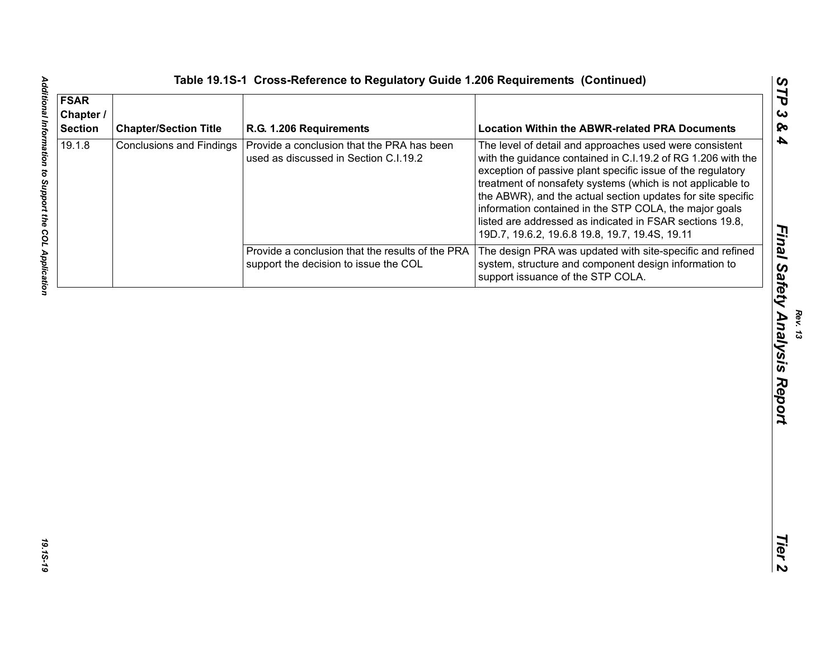| <b>FSAR</b><br>Chapter /<br><b>Section</b> | <b>Chapter/Section Title</b>    | R.G. 1.206 Requirements                                                                   | <b>Location Within the ABWR-related PRA Documents</b>                                                                                                                                                                                                                                                                                                                                                                                                                                       |
|--------------------------------------------|---------------------------------|-------------------------------------------------------------------------------------------|---------------------------------------------------------------------------------------------------------------------------------------------------------------------------------------------------------------------------------------------------------------------------------------------------------------------------------------------------------------------------------------------------------------------------------------------------------------------------------------------|
| 19.1.8                                     | <b>Conclusions and Findings</b> | Provide a conclusion that the PRA has been<br>used as discussed in Section C.I.19.2       | The level of detail and approaches used were consistent<br>with the guidance contained in C.I.19.2 of RG 1.206 with the<br>exception of passive plant specific issue of the regulatory<br>treatment of nonsafety systems (which is not applicable to<br>the ABWR), and the actual section updates for site specific<br>information contained in the STP COLA, the major goals<br>listed are addressed as indicated in FSAR sections 19.8,<br>19D.7, 19.6.2, 19.6.8 19.8, 19.7, 19.4S, 19.11 |
|                                            |                                 | Provide a conclusion that the results of the PRA<br>support the decision to issue the COL | The design PRA was updated with site-specific and refined<br>system, structure and component design information to<br>support issuance of the STP COLA.                                                                                                                                                                                                                                                                                                                                     |
|                                            |                                 |                                                                                           |                                                                                                                                                                                                                                                                                                                                                                                                                                                                                             |
|                                            |                                 |                                                                                           |                                                                                                                                                                                                                                                                                                                                                                                                                                                                                             |

*Final Safety Analysis Report*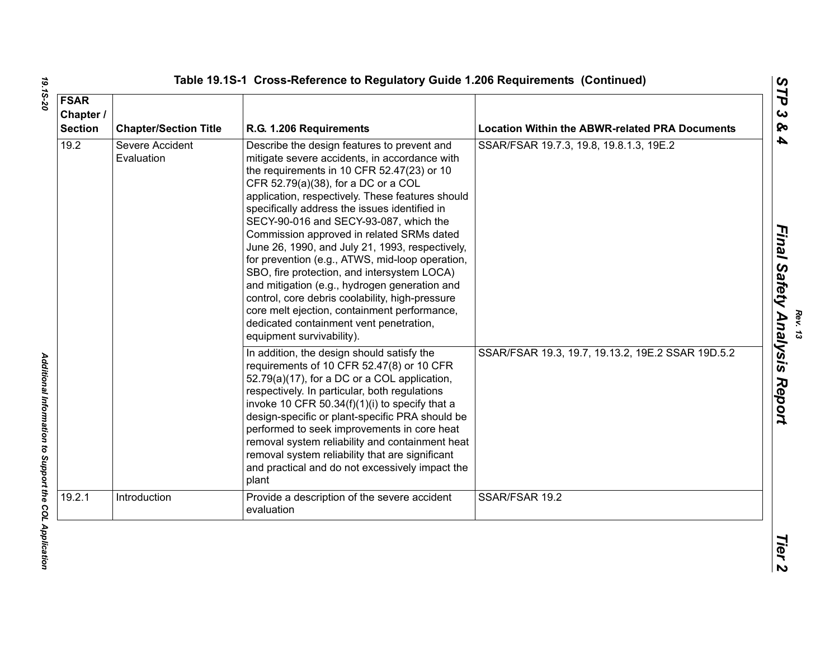| <b>FSAR</b><br>Chapter /<br><b>Section</b> | <b>Chapter/Section Title</b>  | R.G. 1.206 Requirements                                                                                                                                                                                                                                                                                                                                                                                                                                                                                                                                                                                                                                                                                                                                        | <b>Location Within the ABWR-related PRA Documents</b> |
|--------------------------------------------|-------------------------------|----------------------------------------------------------------------------------------------------------------------------------------------------------------------------------------------------------------------------------------------------------------------------------------------------------------------------------------------------------------------------------------------------------------------------------------------------------------------------------------------------------------------------------------------------------------------------------------------------------------------------------------------------------------------------------------------------------------------------------------------------------------|-------------------------------------------------------|
| 19.2                                       | Severe Accident<br>Evaluation | Describe the design features to prevent and<br>mitigate severe accidents, in accordance with<br>the requirements in 10 CFR 52.47(23) or 10<br>CFR 52.79(a)(38), for a DC or a COL<br>application, respectively. These features should<br>specifically address the issues identified in<br>SECY-90-016 and SECY-93-087, which the<br>Commission approved in related SRMs dated<br>June 26, 1990, and July 21, 1993, respectively,<br>for prevention (e.g., ATWS, mid-loop operation,<br>SBO, fire protection, and intersystem LOCA)<br>and mitigation (e.g., hydrogen generation and<br>control, core debris coolability, high-pressure<br>core melt ejection, containment performance,<br>dedicated containment vent penetration,<br>equipment survivability). | SSAR/FSAR 19.7.3, 19.8, 19.8.1.3, 19E.2               |
|                                            |                               | In addition, the design should satisfy the<br>requirements of 10 CFR 52.47(8) or 10 CFR<br>52.79(a)(17), for a DC or a COL application,<br>respectively. In particular, both regulations<br>invoke 10 CFR $50.34(f)(1)(i)$ to specify that a<br>design-specific or plant-specific PRA should be<br>performed to seek improvements in core heat<br>removal system reliability and containment heat<br>removal system reliability that are significant<br>and practical and do not excessively impact the<br>plant                                                                                                                                                                                                                                               | SSAR/FSAR 19.3, 19.7, 19.13.2, 19E.2 SSAR 19D.5.2     |
| 19.2.1                                     | Introduction                  | Provide a description of the severe accident<br>evaluation                                                                                                                                                                                                                                                                                                                                                                                                                                                                                                                                                                                                                                                                                                     | SSAR/FSAR 19.2                                        |

<sup>Rev. 13</sup><br>Final Safety Analysis Report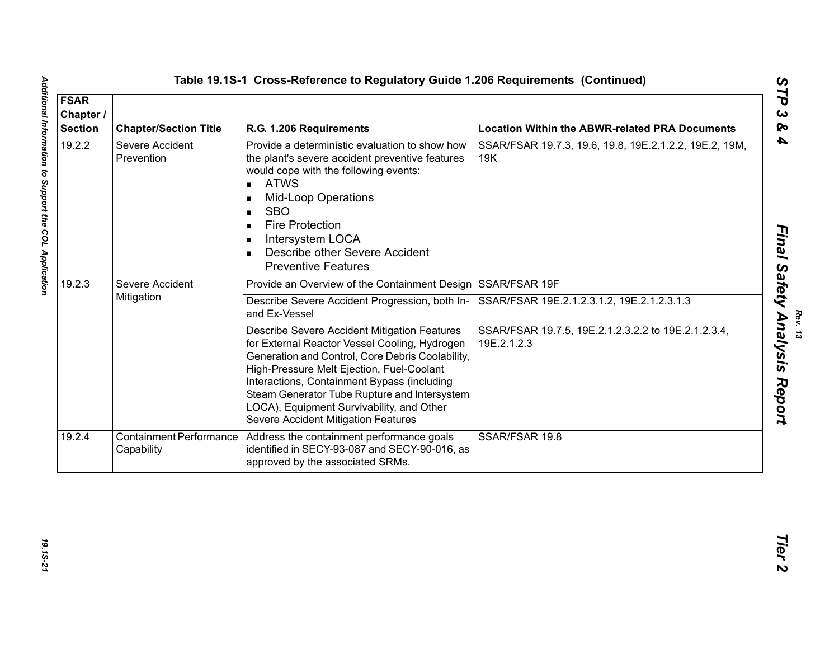| <b>FSAR</b><br>Chapter /<br><b>Section</b> | <b>Chapter/Section Title</b>                 | R.G. 1.206 Requirements                                                                                                                                                                                                                                                                                                                                                                                                         | <b>Location Within the ABWR-related PRA Documents</b>              |
|--------------------------------------------|----------------------------------------------|---------------------------------------------------------------------------------------------------------------------------------------------------------------------------------------------------------------------------------------------------------------------------------------------------------------------------------------------------------------------------------------------------------------------------------|--------------------------------------------------------------------|
| 19.2.2                                     | Severe Accident<br>Prevention                | Provide a deterministic evaluation to show how<br>the plant's severe accident preventive features<br>would cope with the following events:<br><b>ATWS</b><br>$\blacksquare$<br><b>Mid-Loop Operations</b><br>$\blacksquare$<br><b>SBO</b><br>$\blacksquare$<br><b>Fire Protection</b><br>$\blacksquare$<br>Intersystem LOCA<br>$\blacksquare$<br>Describe other Severe Accident<br>$\blacksquare$<br><b>Preventive Features</b> | SSAR/FSAR 19.7.3, 19.6, 19.8, 19E.2.1.2.2, 19E.2, 19M,<br>19K      |
| 19.2.3                                     | Severe Accident<br>Mitigation                | Provide an Overview of the Containment Design SSAR/FSAR 19F<br>Describe Severe Accident Progression, both In- SSAR/FSAR 19E.2.1.2.3.1.2, 19E.2.1.2.3.1.3                                                                                                                                                                                                                                                                        |                                                                    |
|                                            |                                              | and Ex-Vessel<br>Describe Severe Accident Mitigation Features<br>for External Reactor Vessel Cooling, Hydrogen<br>Generation and Control, Core Debris Coolability,<br>High-Pressure Melt Ejection, Fuel-Coolant<br>Interactions, Containment Bypass (including<br>Steam Generator Tube Rupture and Intersystem<br>LOCA), Equipment Survivability, and Other<br>Severe Accident Mitigation Features                              | SSAR/FSAR 19.7.5, 19E.2.1.2.3.2.2 to 19E.2.1.2.3.4,<br>19E.2.1.2.3 |
| 19.2.4                                     | <b>Containment Performance</b><br>Capability | Address the containment performance goals<br>identified in SECY-93-087 and SECY-90-016, as<br>approved by the associated SRMs.                                                                                                                                                                                                                                                                                                  | SSAR/FSAR 19.8                                                     |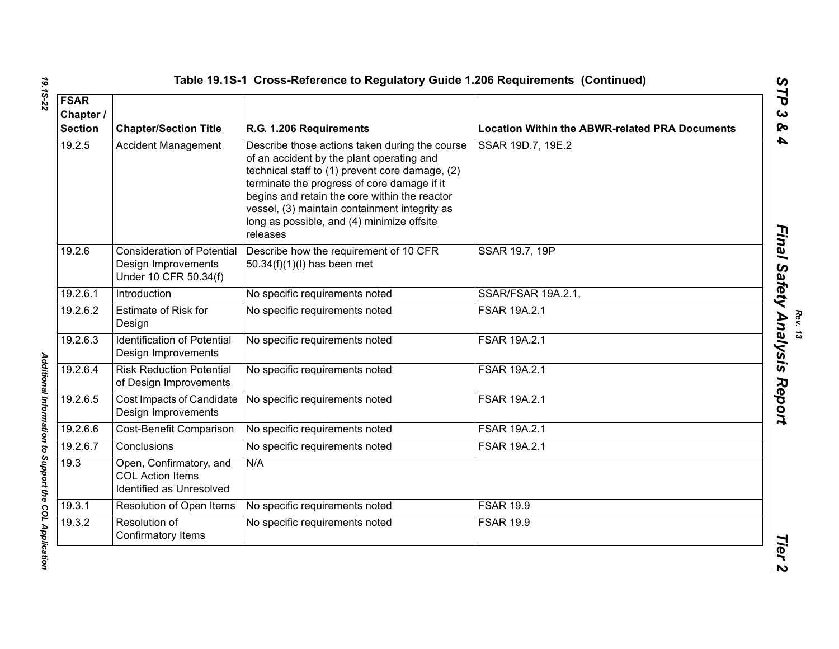| <b>FSAR</b><br>Chapter /<br><b>Section</b> | <b>Chapter/Section Title</b>                                                      | R.G. 1.206 Requirements                                                                                                                                                                                                                                                                                                                                   | <b>Location Within the ABWR-related PRA Documents</b> |
|--------------------------------------------|-----------------------------------------------------------------------------------|-----------------------------------------------------------------------------------------------------------------------------------------------------------------------------------------------------------------------------------------------------------------------------------------------------------------------------------------------------------|-------------------------------------------------------|
| 19.2.5                                     | <b>Accident Management</b>                                                        | Describe those actions taken during the course<br>of an accident by the plant operating and<br>technical staff to (1) prevent core damage, (2)<br>terminate the progress of core damage if it<br>begins and retain the core within the reactor<br>vessel, (3) maintain containment integrity as<br>long as possible, and (4) minimize offsite<br>releases | SSAR 19D.7, 19E.2                                     |
| 19.2.6                                     | <b>Consideration of Potential</b><br>Design Improvements<br>Under 10 CFR 50.34(f) | Describe how the requirement of 10 CFR<br>50.34(f)(1)(l) has been met                                                                                                                                                                                                                                                                                     | SSAR 19.7, 19P                                        |
| 19.2.6.1                                   | Introduction                                                                      | No specific requirements noted                                                                                                                                                                                                                                                                                                                            | <b>SSAR/FSAR 19A.2.1,</b>                             |
| 19.2.6.2                                   | <b>Estimate of Risk for</b><br>Design                                             | No specific requirements noted                                                                                                                                                                                                                                                                                                                            | FSAR 19A.2.1                                          |
| 19.2.6.3                                   | <b>Identification of Potential</b><br>Design Improvements                         | No specific requirements noted                                                                                                                                                                                                                                                                                                                            | FSAR 19A.2.1                                          |
| 19.2.6.4                                   | <b>Risk Reduction Potential</b><br>of Design Improvements                         | No specific requirements noted                                                                                                                                                                                                                                                                                                                            | FSAR 19A.2.1                                          |
| 19.2.6.5                                   | Cost Impacts of Candidate<br>Design Improvements                                  | No specific requirements noted                                                                                                                                                                                                                                                                                                                            | FSAR 19A.2.1                                          |
| 19.2.6.6                                   | Cost-Benefit Comparison                                                           | No specific requirements noted                                                                                                                                                                                                                                                                                                                            | FSAR 19A.2.1                                          |
| 19.2.6.7                                   | Conclusions                                                                       | No specific requirements noted                                                                                                                                                                                                                                                                                                                            | FSAR 19A.2.1                                          |
| 19.3                                       | Open, Confirmatory, and<br><b>COL Action Items</b><br>Identified as Unresolved    | N/A                                                                                                                                                                                                                                                                                                                                                       |                                                       |
| 19.3.1                                     | Resolution of Open Items                                                          | No specific requirements noted                                                                                                                                                                                                                                                                                                                            | <b>FSAR 19.9</b>                                      |
| 19.3.2                                     | Resolution of<br>Confirmatory Items                                               | No specific requirements noted                                                                                                                                                                                                                                                                                                                            | <b>FSAR 19.9</b>                                      |